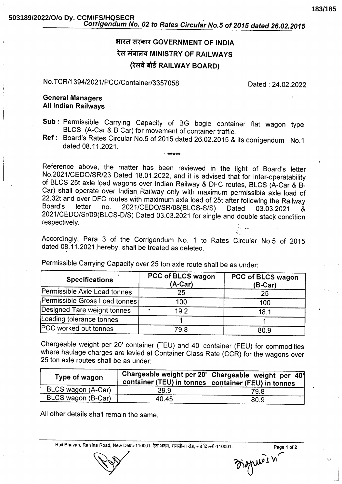# भारत सरकार GOVERNMENT OF INDIA रेल मंत्रालय MINISTRY OF RAILWAYS (रेलवे बोर्ड RAILWAY BOARD)

## No.TCR/1394/2021/PCC/Container/3357058

Dated: 24.02.2022

## **General Managers All Indian Railwavs**

- Sub: Permissible Carrying Capacity of BG bogie container flat wagon type BLCS (A-Car & B Car) for movement of container traffic.
- Ref: Board's Rates Circular No.5 of 2015 dated 26.02.2015 & its corrigendum No.1 dated 08.11.2021.

Reference above, the matter has been reviewed in the light of Board's letter No.2021/CEDO/SR/23 Dated 18.01.2022, and it is advised that for inter-operatability of BLCS 25t axle load wagons over Indian Railway & DFC routes, BLCS (A-Car & B-Car) shall operate over Indian Railway only with maximum permissible axle load of 22.32t and over DFC routes with maximum axle load of 25t after following the Railway Board's letter 2021/CEDO/SR/08(BLCS-S/S)  $no$ Dated 03.03.2021 & 2021/CEDO/Sr/09(BLCS-D/S) Dated 03.03.2021 for single and double stack condition respectively.

Accordingly, Para 3 of the Corrigendum No. 1 to Rates Circular No.5 of 2015 dated 08.11.2021, hereby, shall be treated as deleted.

Permissible Carrying Capacity over 25 ton axle route shall be as under:

| <b>Specifications</b>          | PCC of BLCS wagon<br>(A-Car) | PCC of BLCS wagon<br>$(B-Car)$ |
|--------------------------------|------------------------------|--------------------------------|
| Permissible Axle Load tonnes   | 25                           | 25                             |
| Permissible Gross Load tonnes! | 100                          | 100                            |
| Designed Tare weight tonnes    | 19.2<br>79                   | 18.7                           |
| Loading tolerance tonnes       |                              |                                |
| <b>PCC worked out tonnes</b>   | 79.8                         | 80.9                           |

Chargeable weight per 20' container (TEU) and 40' container (FEU) for commodities where haulage charges are levied at Container Class Rate (CCR) for the wagons over 25 ton axle routes shall be as under:

| Type of wagon      |       | Chargeable weight per 20' Chargeable weight per 40'<br>container (TEU) in tonnes container (FEU) in tonnes |
|--------------------|-------|------------------------------------------------------------------------------------------------------------|
| BLCS wagon (A-Car) | 39.9  | 79.8                                                                                                       |
| BLCS wagon (B-Car) | 40.45 | 80.9                                                                                                       |

All other details shall remain the same.

Rail Bhavan, Raisina Road, New Delhi-110001. रेल भवन, रायसीना रोड, नई दिल्ली-110001.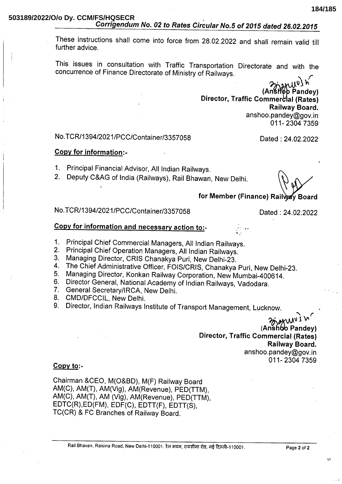These instructions shall come into force from 28.02.2022 and shall remain valid till further advice

This issues in consultation with Traffic Transportation Directorate and with the concurrence of Finance Directorate of Ministry of Railways.

Anstrop Pandey) Director, Traffic Commercial (Rates) Railway Board. anshoo.pandey@gov.in 011-2304 7359

## No.TCR/1394/2021/PCC/Container/3357058

#### Copy for information:-

- 1. Principal Financial Advisor, All Indian Railways.
- 2. Deputy C&AG of India (Railways), Rail Bhawan, New Delhi.

Dated: 24.02.2022

for Member (Finance) Railway Board

No.TCR/1394/2021/PCC/Container/3357058

Dated: 24.02.2022

## Copy for information and necessary action to:-

- 1. Principal Chief Commercial Managers, All Indian Railways.
- 2. Principal Chief Operation Managers, All Indian Railways.
- 3. Managing Director, CRIS Chanakya Puri, New Delhi-23.
- The Chief Administrative Officer, FOIS/CRIS, Chanakya Puri, New Delhi-23.  $\mathbf{4}$ .
- Managing Director, Konkan Railway Corporation, New Mumbai-400614.  $5<sub>1</sub>$
- Director General, National Academy of Indian Railways, Vadodara. 6.
- 7. General Secretary/IRCA, New Delhi.
- 8. CMD/DFCCIL, New Delhi.
- 9. Director, Indian Railways Institute of Transport Management, Lucknow.

Niung (Anshoo Pandey) **Director, Traffic Commercial (Rates)** Railway Board. anshoo.pandey@gov.in 011-2304 7359

### $Copy to:$

Chairman &CEO, M(O&BD), M(F) Railway Board AM(C), AM(T), AM(Vig), AM(Revenue), PED(TTM), AM(C), AM(T), AM (Vig), AM(Revenue), PED(TTM), EDTC(R), ED(FM), EDF(C), EDTT(F), EDTT(S), TC(CR) & FC Branches of Railway Board.